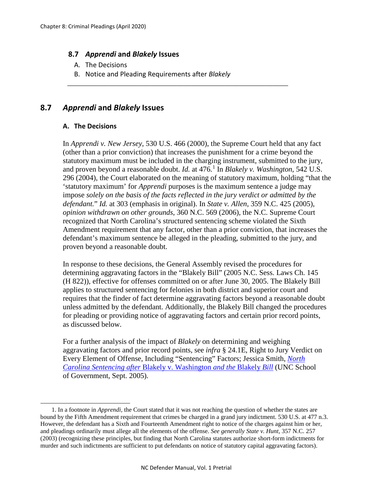## **8.7** *Apprendi* **and** *Blakely* **Issues**

- A. The Decisions
- B. Notice and Pleading Requirements after *Blakely*

\_\_\_\_\_\_\_\_\_\_\_\_\_\_\_\_\_\_\_\_\_\_\_\_\_\_\_\_\_\_\_\_\_\_\_\_\_\_\_\_\_\_\_\_\_\_\_\_\_\_\_\_\_\_\_\_\_\_\_

## **8.7** *Apprendi* **and** *Blakely* **Issues**

## **A. The Decisions**

l

In *Apprendi v. New Jersey*, 530 U.S. 466 (2000), the Supreme Court held that any fact (other than a prior conviction) that increases the punishment for a crime beyond the statutory maximum must be included in the charging instrument, submitted to the jury, and proven beyond a reasonable doubt. *Id.* at 476.[1](#page-0-0) In *Blakely v. Washington*, 542 U.S. 296 (2004), the Court elaborated on the meaning of statutory maximum, holding "that the 'statutory maximum' for *Apprendi* purposes is the maximum sentence a judge may impose *solely on the basis of the facts reflected in the jury verdict or admitted by the defendant.*" *Id.* at 303 (emphasis in original). In *State v. Allen*, 359 N.C. 425 (2005), *opinion withdrawn on other grounds*, 360 N.C. 569 (2006), the N.C. Supreme Court recognized that North Carolina's structured sentencing scheme violated the Sixth Amendment requirement that any factor, other than a prior conviction, that increases the defendant's maximum sentence be alleged in the pleading, submitted to the jury, and proven beyond a reasonable doubt.

In response to these decisions, the General Assembly revised the procedures for determining aggravating factors in the "Blakely Bill" (2005 N.C. Sess. Laws Ch. 145 (H 822)), effective for offenses committed on or after June 30, 2005. The Blakely Bill applies to structured sentencing for felonies in both district and superior court and requires that the finder of fact determine aggravating factors beyond a reasonable doubt unless admitted by the defendant. Additionally, the Blakely Bill changed the procedures for pleading or providing notice of aggravating factors and certain prior record points, as discussed below.

For a further analysis of the impact of *Blakely* on determining and weighing aggravating factors and prior record points, see *infra* § 24.1E, Right to Jury Verdict on Every Element of Offense, Including "Sentencing" Factors; Jessica Smith, *[North](https://www.sog.unc.edu/sites/www.sog.unc.edu/files/additional_files/Blakely%20Update.pdf)  [Carolina Sentencing after](https://www.sog.unc.edu/sites/www.sog.unc.edu/files/additional_files/Blakely%20Update.pdf)* Blakely v. Washington *and the* Blakely *Bill* (UNC School of Government, Sept. 2005).

<span id="page-0-0"></span><sup>1.</sup> In a footnote in *Apprendi,* the Court stated that it was not reaching the question of whether the states are bound by the Fifth Amendment requirement that crimes be charged in a grand jury indictment. 530 U.S. at 477 n.3. However, the defendant has a Sixth and Fourteenth Amendment right to notice of the charges against him or her, and pleadings ordinarily must allege all the elements of the offense. *See generally State v. Hunt,* 357 N.C. 257 (2003) (recognizing these principles, but finding that North Carolina statutes authorize short-form indictments for murder and such indictments are sufficient to put defendants on notice of statutory capital aggravating factors).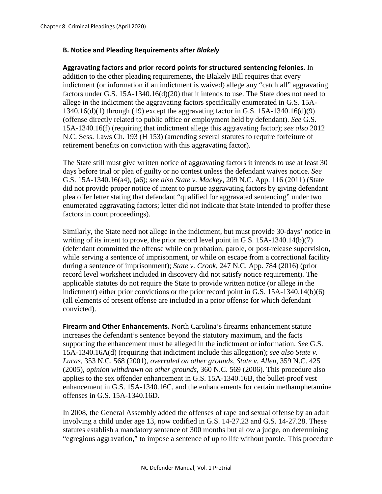## **B. Notice and Pleading Requirements after** *Blakely*

**Aggravating factors and prior record points for structured sentencing felonies.** In addition to the other pleading requirements, the Blakely Bill requires that every indictment (or information if an indictment is waived) allege any "catch all" aggravating factors under G.S. 15A-1340.16(d)(20) that it intends to use. The State does not need to allege in the indictment the aggravating factors specifically enumerated in G.S. 15A-1340.16(d)(1) through (19) except the aggravating factor in G.S. 15A-1340.16(d)(9) (offense directly related to public office or employment held by defendant). *See* G.S. 15A-1340.16(f) (requiring that indictment allege this aggravating factor); *see also* 2012 N.C. Sess. Laws Ch. 193 (H 153) (amending several statutes to require forfeiture of retirement benefits on conviction with this aggravating factor).

The State still must give written notice of aggravating factors it intends to use at least 30 days before trial or plea of guilty or no contest unless the defendant waives notice. *See*  G.S. 15A-1340.16(a4), (a6); *see also State v. Mackey*, 209 N.C. App. 116 (2011) (State did not provide proper notice of intent to pursue aggravating factors by giving defendant plea offer letter stating that defendant "qualified for aggravated sentencing" under two enumerated aggravating factors; letter did not indicate that State intended to proffer these factors in court proceedings).

Similarly, the State need not allege in the indictment, but must provide 30-days' notice in writing of its intent to prove, the prior record level point in G.S. 15A-1340.14(b)(7) (defendant committed the offense while on probation, parole, or post-release supervision, while serving a sentence of imprisonment, or while on escape from a correctional facility during a sentence of imprisonment); *State v. Crook,* 247 N.C. App. 784 (2016) (prior record level worksheet included in discovery did not satisfy notice requirement). The applicable statutes do not require the State to provide written notice (or allege in the indictment) either prior convictions or the prior record point in G.S. 15A-1340.14(b)(6) (all elements of present offense are included in a prior offense for which defendant convicted).

**Firearm and Other Enhancements.** North Carolina's firearms enhancement statute increases the defendant's sentence beyond the statutory maximum, and the facts supporting the enhancement must be alleged in the indictment or information. *See* G.S. 15A-1340.16A(d) (requiring that indictment include this allegation); *see also State v. Lucas*, 353 N.C. 568 (2001), *overruled on other grounds*, *State v. Allen*, 359 N.C. 425 (2005), *opinion withdrawn on other grounds*, 360 N.C. 569 (2006). This procedure also applies to the sex offender enhancement in G.S. 15A-1340.16B, the bullet-proof vest enhancement in G.S. 15A-1340.16C, and the enhancements for certain methamphetamine offenses in G.S. 15A-1340.16D.

In 2008, the General Assembly added the offenses of rape and sexual offense by an adult involving a child under age 13, now codified in G.S. 14-27.23 and G.S. 14-27.28. These statutes establish a mandatory sentence of 300 months but allow a judge, on determining "egregious aggravation," to impose a sentence of up to life without parole. This procedure